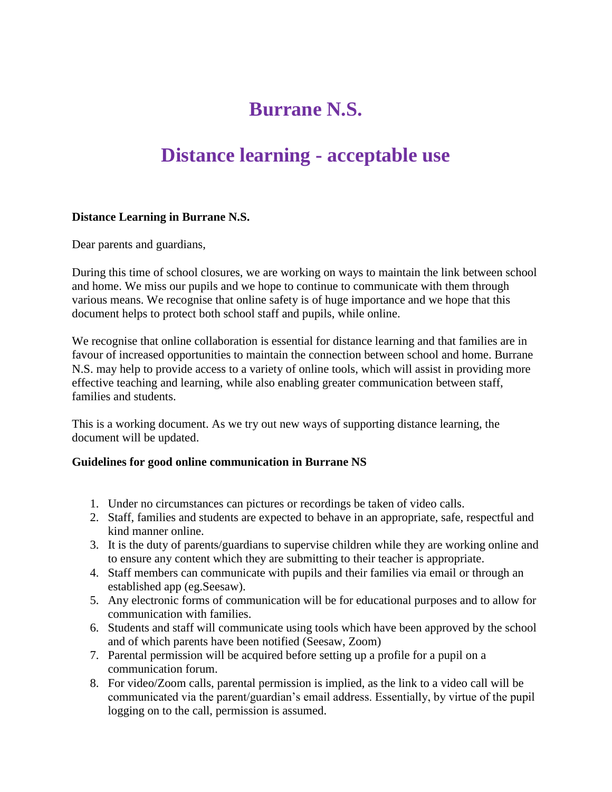## **Burrane N.S.**

## **Distance learning - acceptable use**

#### **Distance Learning in Burrane N.S.**

Dear parents and guardians,

During this time of school closures, we are working on ways to maintain the link between school and home. We miss our pupils and we hope to continue to communicate with them through various means. We recognise that online safety is of huge importance and we hope that this document helps to protect both school staff and pupils, while online.

We recognise that online collaboration is essential for distance learning and that families are in favour of increased opportunities to maintain the connection between school and home. Burrane N.S. may help to provide access to a variety of online tools, which will assist in providing more effective teaching and learning, while also enabling greater communication between staff, families and students.

This is a working document. As we try out new ways of supporting distance learning, the document will be updated.

#### **Guidelines for good online communication in Burrane NS**

- 1. Under no circumstances can pictures or recordings be taken of video calls.
- 2. Staff, families and students are expected to behave in an appropriate, safe, respectful and kind manner online.
- 3. It is the duty of parents/guardians to supervise children while they are working online and to ensure any content which they are submitting to their teacher is appropriate.
- 4. Staff members can communicate with pupils and their families via email or through an established app (eg.Seesaw).
- 5. Any electronic forms of communication will be for educational purposes and to allow for communication with families.
- 6. Students and staff will communicate using tools which have been approved by the school and of which parents have been notified (Seesaw, Zoom)
- 7. Parental permission will be acquired before setting up a profile for a pupil on a communication forum.
- 8. For video/Zoom calls, parental permission is implied, as the link to a video call will be communicated via the parent/guardian's email address. Essentially, by virtue of the pupil logging on to the call, permission is assumed.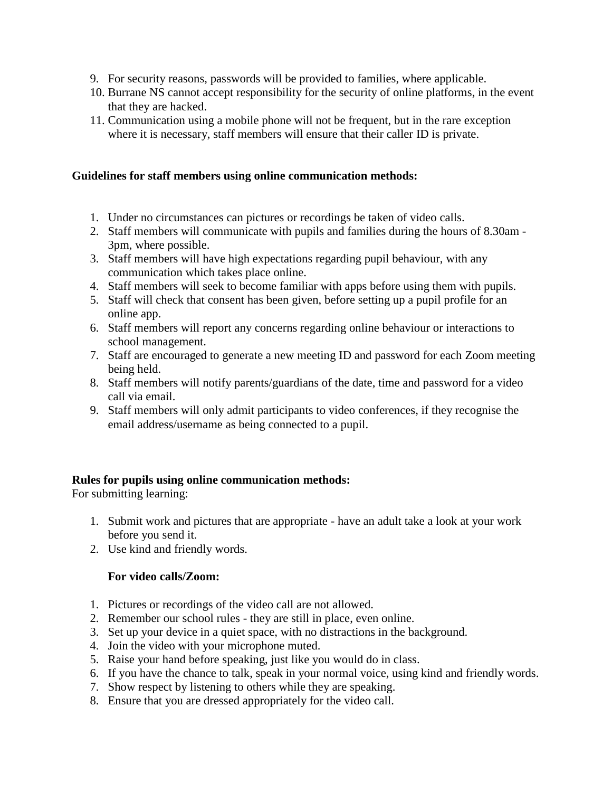- 9. For security reasons, passwords will be provided to families, where applicable.
- 10. Burrane NS cannot accept responsibility for the security of online platforms, in the event that they are hacked.
- 11. Communication using a mobile phone will not be frequent, but in the rare exception where it is necessary, staff members will ensure that their caller ID is private.

#### **Guidelines for staff members using online communication methods:**

- 1. Under no circumstances can pictures or recordings be taken of video calls.
- 2. Staff members will communicate with pupils and families during the hours of 8.30am 3pm, where possible.
- 3. Staff members will have high expectations regarding pupil behaviour, with any communication which takes place online.
- 4. Staff members will seek to become familiar with apps before using them with pupils.
- 5. Staff will check that consent has been given, before setting up a pupil profile for an online app.
- 6. Staff members will report any concerns regarding online behaviour or interactions to school management.
- 7. Staff are encouraged to generate a new meeting ID and password for each Zoom meeting being held.
- 8. Staff members will notify parents/guardians of the date, time and password for a video call via email.
- 9. Staff members will only admit participants to video conferences, if they recognise the email address/username as being connected to a pupil.

#### **Rules for pupils using online communication methods:**

For submitting learning:

- 1. Submit work and pictures that are appropriate have an adult take a look at your work before you send it.
- 2. Use kind and friendly words.

#### **For video calls/Zoom:**

- 1. Pictures or recordings of the video call are not allowed.
- 2. Remember our school rules they are still in place, even online.
- 3. Set up your device in a quiet space, with no distractions in the background.
- 4. Join the video with your microphone muted.
- 5. Raise your hand before speaking, just like you would do in class.
- 6. If you have the chance to talk, speak in your normal voice, using kind and friendly words.
- 7. Show respect by listening to others while they are speaking.
- 8. Ensure that you are dressed appropriately for the video call.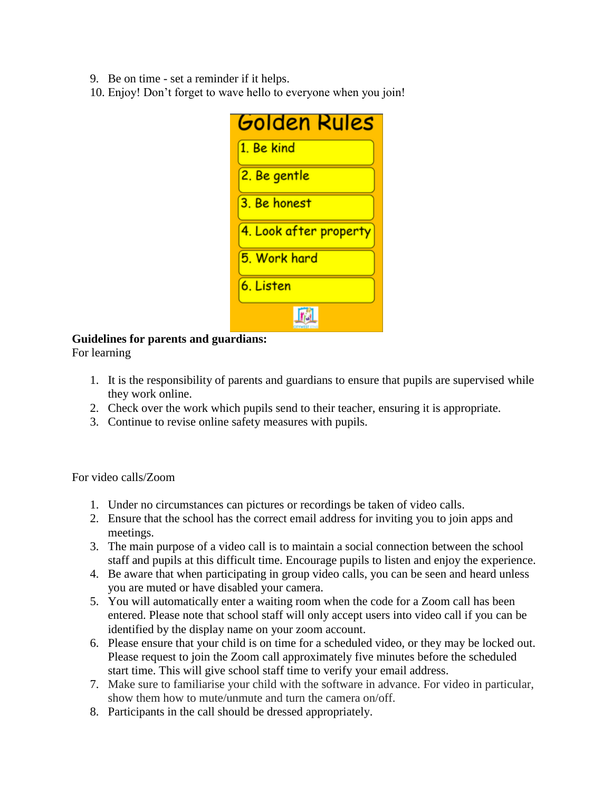- 9. Be on time set a reminder if it helps.
- 10. Enjoy! Don't forget to wave hello to everyone when you join!

| Golden Rules           |
|------------------------|
| 1. Be kind             |
| <u>2. Be gentle</u>    |
| 3. Be honest           |
| 4. Look after property |
| 5. Work hard           |
| 6. Listen              |
|                        |

### **Guidelines for parents and guardians:**

For learning

- 1. It is the responsibility of parents and guardians to ensure that pupils are supervised while they work online.
- 2. Check over the work which pupils send to their teacher, ensuring it is appropriate.
- 3. Continue to revise online safety measures with pupils.

For video calls/Zoom

- 1. Under no circumstances can pictures or recordings be taken of video calls.
- 2. Ensure that the school has the correct email address for inviting you to join apps and meetings.
- 3. The main purpose of a video call is to maintain a social connection between the school staff and pupils at this difficult time. Encourage pupils to listen and enjoy the experience.
- 4. Be aware that when participating in group video calls, you can be seen and heard unless you are muted or have disabled your camera.
- 5. You will automatically enter a waiting room when the code for a Zoom call has been entered. Please note that school staff will only accept users into video call if you can be identified by the display name on your zoom account.
- 6. Please ensure that your child is on time for a scheduled video, or they may be locked out. Please request to join the Zoom call approximately five minutes before the scheduled start time. This will give school staff time to verify your email address.
- 7. Make sure to familiarise your child with the software in advance. For video in particular, show them how to mute/unmute and turn the camera on/off.
- 8. Participants in the call should be dressed appropriately.